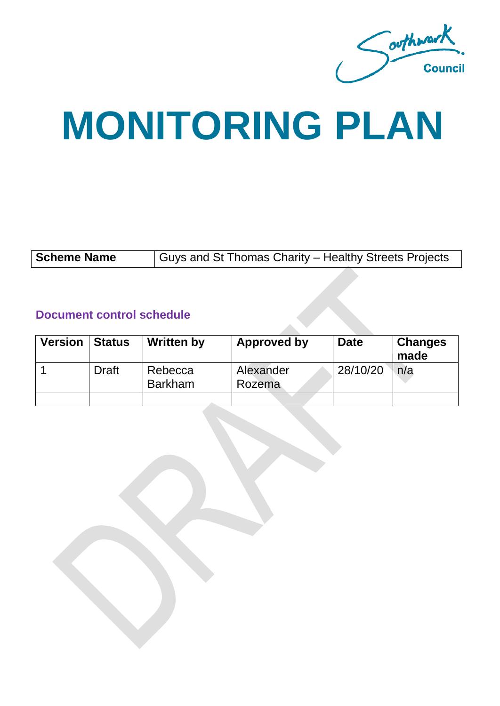Southwark.

# **MONITORING PLAN**

#### **Document control schedule**

| <b>Version   Status</b> |              | <b>Written by</b>         | Approved by         | <b>Date</b> | <b>Changes</b><br>made |
|-------------------------|--------------|---------------------------|---------------------|-------------|------------------------|
|                         | <b>Draft</b> | Rebecca<br><b>Barkham</b> | Alexander<br>Rozema | 28/10/20    | n/a                    |
|                         |              |                           |                     |             |                        |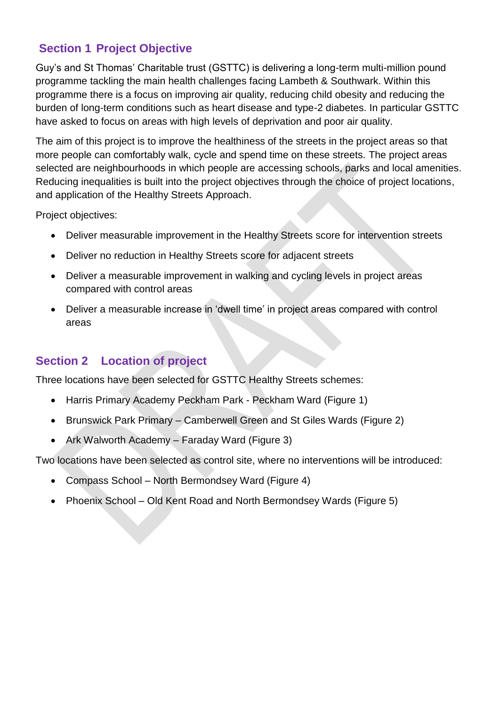#### **Section 1 Project Objective**

Guy's and St Thomas' Charitable trust (GSTTC) is delivering a long-term multi-million pound programme tackling the main health challenges facing Lambeth & Southwark. Within this programme there is a focus on improving air quality, reducing child obesity and reducing the burden of long-term conditions such as heart disease and type-2 diabetes. In particular GSTTC have asked to focus on areas with high levels of deprivation and poor air quality.

The aim of this project is to improve the healthiness of the streets in the project areas so that more people can comfortably walk, cycle and spend time on these streets. The project areas selected are neighbourhoods in which people are accessing schools, parks and local amenities. Reducing inequalities is built into the project objectives through the choice of project locations, and application of the Healthy Streets Approach.

Project objectives:

- Deliver measurable improvement in the Healthy Streets score for intervention streets
- Deliver no reduction in Healthy Streets score for adjacent streets
- Deliver a measurable improvement in walking and cycling levels in project areas compared with control areas
- Deliver a measurable increase in 'dwell time' in project areas compared with control areas

## **Section 2 Location of project**

Three locations have been selected for GSTTC Healthy Streets schemes:

- Harris Primary Academy Peckham Park Peckham Ward (Figure 1)
- Brunswick Park Primary Camberwell Green and St Giles Wards (Figure 2)
- Ark Walworth Academy Faraday Ward (Figure 3)

Two locations have been selected as control site, where no interventions will be introduced:

- Compass School North Bermondsey Ward (Figure 4)
- Phoenix School Old Kent Road and North Bermondsey Wards (Figure 5)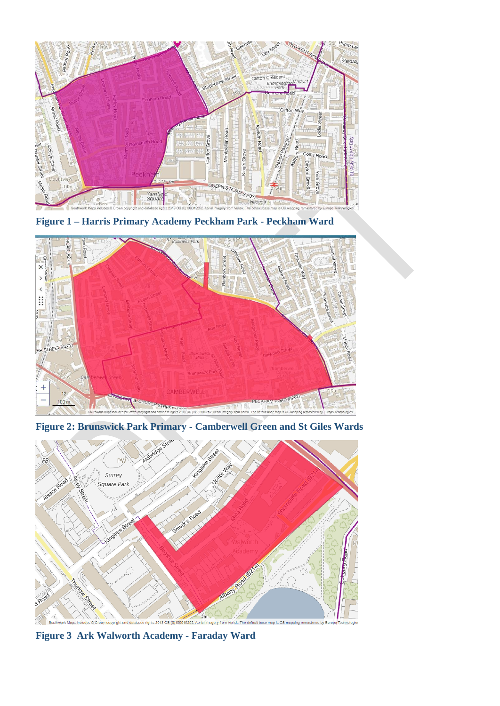

**Figure 1 – Harris Primary Academy Peckham Park - Peckham Ward**



**Figure 2: Brunswick Park Primary - Camberwell Green and St Giles Wards**



**Figure 3 Ark Walworth Academy - Faraday Ward**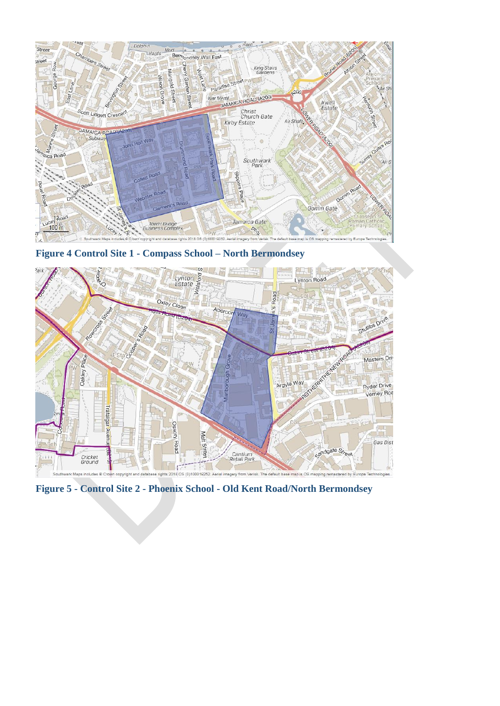

**Figure 4 Control Site 1 - Compass School – North Bermondsey**



**Figure 5 - Control Site 2 - Phoenix School - Old Kent Road/North Bermondsey**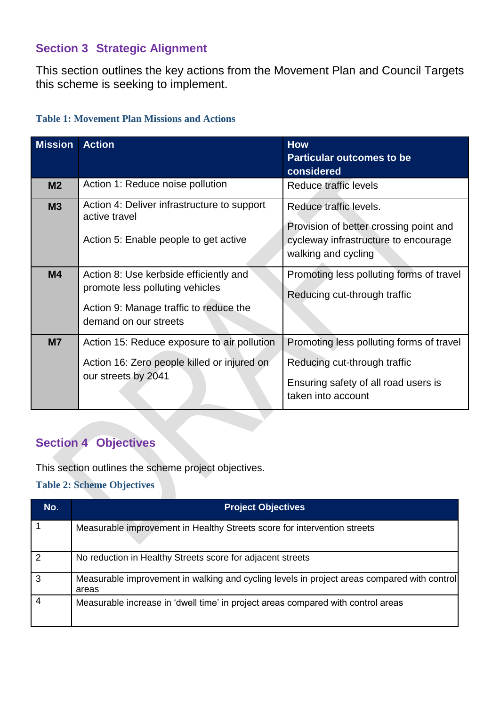#### **Section 3 Strategic Alignment**

This section outlines the key actions from the Movement Plan and Council Targets this scheme is seeking to implement.

| <b>Table 1: Movement Plan Missions and Actions</b> |  |  |
|----------------------------------------------------|--|--|
|                                                    |  |  |

| <b>Mission</b> | <b>Action</b>                                                                                                                                | <b>How</b><br><b>Particular outcomes to be</b><br>considered                                                                           |
|----------------|----------------------------------------------------------------------------------------------------------------------------------------------|----------------------------------------------------------------------------------------------------------------------------------------|
| M <sub>2</sub> | Action 1: Reduce noise pollution                                                                                                             | Reduce traffic levels                                                                                                                  |
| M3             | Action 4: Deliver infrastructure to support<br>active travel<br>Action 5: Enable people to get active                                        | Reduce traffic levels.<br>Provision of better crossing point and<br>cycleway infrastructure to encourage<br>walking and cycling        |
| M <sub>4</sub> | Action 8: Use kerbside efficiently and<br>promote less polluting vehicles<br>Action 9: Manage traffic to reduce the<br>demand on our streets | Promoting less polluting forms of travel<br>Reducing cut-through traffic                                                               |
| <b>M7</b>      | Action 15: Reduce exposure to air pollution<br>Action 16: Zero people killed or injured on<br>our streets by 2041                            | Promoting less polluting forms of travel<br>Reducing cut-through traffic<br>Ensuring safety of all road users is<br>taken into account |

# **Section 4 Objectives**

This section outlines the scheme project objectives.

**Table 2: Scheme Objectives**

| No.            | <b>Project Objectives</b>                                                                            |
|----------------|------------------------------------------------------------------------------------------------------|
|                | Measurable improvement in Healthy Streets score for intervention streets                             |
| $\overline{2}$ | No reduction in Healthy Streets score for adjacent streets                                           |
| 3              | Measurable improvement in walking and cycling levels in project areas compared with control<br>areas |
|                | Measurable increase in 'dwell time' in project areas compared with control areas                     |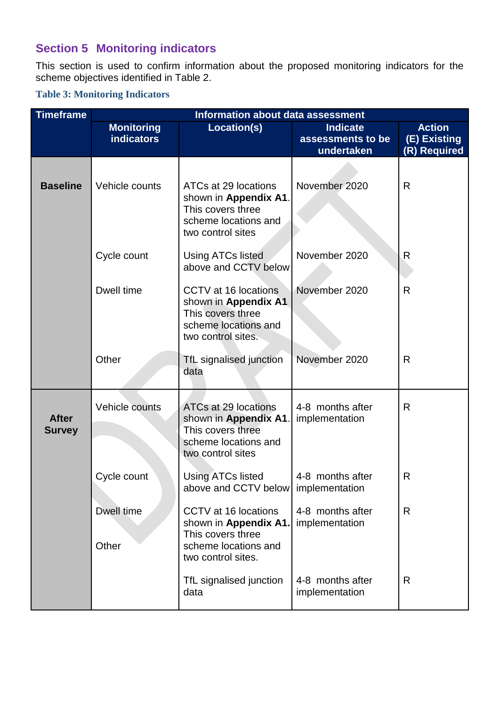# **Section 5 Monitoring indicators**

This section is used to confirm information about the proposed monitoring indicators for the scheme objectives identified in Table 2.

#### **Table 3: Monitoring Indicators**

| <b>Timeframe</b>              | <b>Information about data assessment</b> |                                                                                                                  |                                    |               |  |
|-------------------------------|------------------------------------------|------------------------------------------------------------------------------------------------------------------|------------------------------------|---------------|--|
|                               | <b>Monitoring</b>                        | Location(s)                                                                                                      | <b>Indicate</b>                    | <b>Action</b> |  |
|                               | <b>indicators</b>                        |                                                                                                                  | assessments to be                  | (E) Existing  |  |
|                               |                                          |                                                                                                                  | undertaken                         | (R) Required  |  |
| <b>Baseline</b>               | Vehicle counts                           | ATCs at 29 locations<br>shown in Appendix A1.<br>This covers three<br>scheme locations and<br>two control sites  | November 2020                      | R             |  |
|                               | Cycle count                              | <b>Using ATCs listed</b><br>above and CCTV below                                                                 | November 2020                      | R             |  |
|                               | Dwell time                               | CCTV at 16 locations<br>shown in Appendix A1<br>This covers three<br>scheme locations and<br>two control sites.  | November 2020                      | $\mathsf{R}$  |  |
|                               | Other                                    | TfL signalised junction<br>data                                                                                  | November 2020                      | R             |  |
| <b>After</b><br><b>Survey</b> | Vehicle counts                           | ATCs at 29 locations<br>shown in Appendix A1<br>This covers three<br>scheme locations and<br>two control sites   | 4-8 months after<br>implementation | R             |  |
|                               | Cycle count                              | <b>Using ATCs listed</b><br>above and CCTV below implementation                                                  | 4-8 months after                   | R             |  |
|                               | Dwell time<br>Other                      | CCTV at 16 locations<br>shown in Appendix A1.<br>This covers three<br>scheme locations and<br>two control sites. | 4-8 months after<br>implementation | R             |  |
|                               |                                          | TfL signalised junction<br>data                                                                                  | 4-8 months after<br>implementation | R             |  |